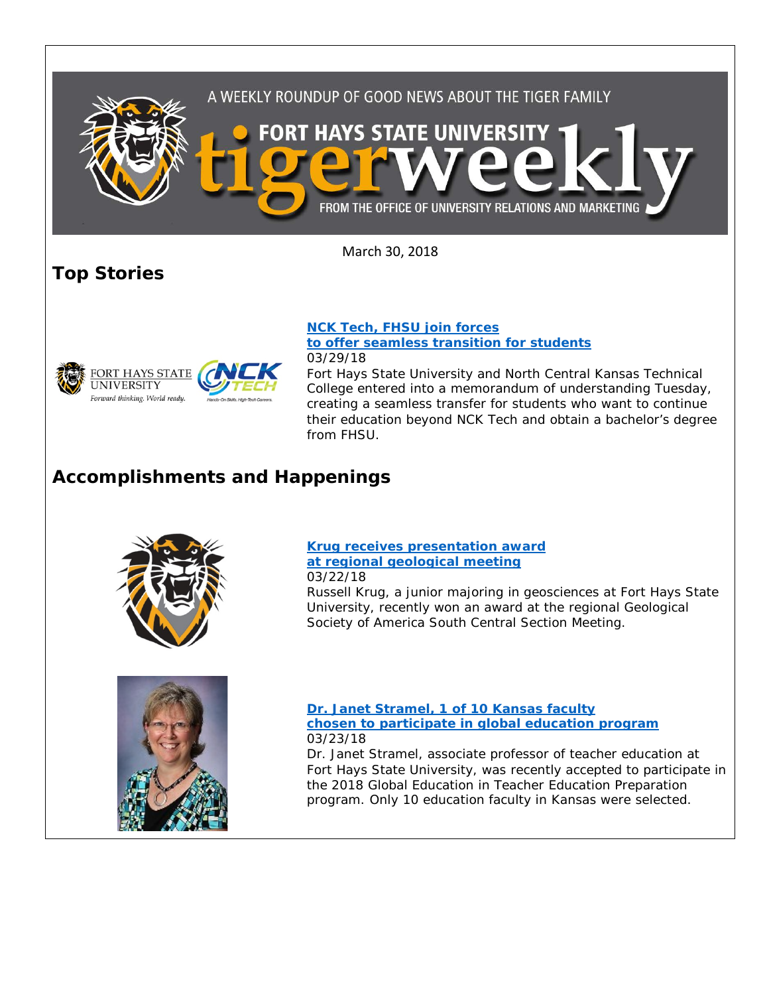

March 30, 2018

**Top Stories**



**[NCK Tech, FHSU join forces](https://www.fhsu.edu/news/2018/03/nck-tech,-fhsu-join-forces-to-offer-seamless-transition-for-students.html)  [to offer seamless transition for students](https://www.fhsu.edu/news/2018/03/nck-tech,-fhsu-join-forces-to-offer-seamless-transition-for-students.html)** 03/29/18

Fort Hays State University and North Central Kansas Technical College entered into a memorandum of understanding Tuesday, creating a seamless transfer for students who want to continue their education beyond NCK Tech and obtain a bachelor's degree from FHSU.

## **Accomplishments and Happenings**



**[Krug receives presentation award](https://www.fhsu.edu/news/2018/03/krug-receives-presentation-award-at-regional-geological-meeting.html)  [at regional geological meeting](https://www.fhsu.edu/news/2018/03/krug-receives-presentation-award-at-regional-geological-meeting.html)** 03/22/18

Russell Krug, a junior majoring in geosciences at Fort Hays State University, recently won an award at the regional Geological Society of America South Central Section Meeting.



**[Dr. Janet Stramel, 1 of 10 Kansas faculty](https://www.fhsu.edu/news/2018/03/dr.-janet-stramel,-1-of-10-kansas-faculty-chosen-to-participate-in-global-education-program.html)  [chosen to participate in global education program](https://www.fhsu.edu/news/2018/03/dr.-janet-stramel,-1-of-10-kansas-faculty-chosen-to-participate-in-global-education-program.html)** 03/23/18

Dr. Janet Stramel, associate professor of teacher education at Fort Hays State University, was recently accepted to participate in the 2018 Global Education in Teacher Education Preparation program. Only 10 education faculty in Kansas were selected.